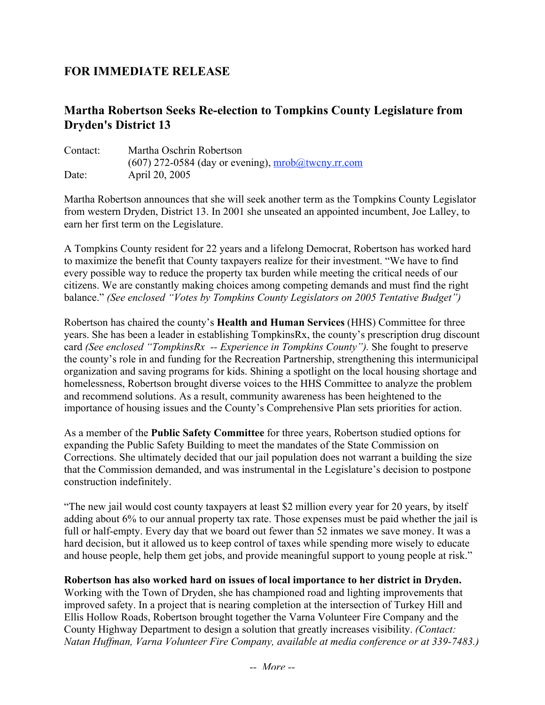# **FOR IMMEDIATE RELEASE**

# **Martha Robertson Seeks Re-election to Tompkins County Legislature from Dryden's District 13**

| Contact: | Martha Oschrin Robertson                                |
|----------|---------------------------------------------------------|
|          | $(607)$ 272-0584 (day or evening), $mrob@$ tweny rr.com |
| Date:    | April 20, 2005                                          |

Martha Robertson announces that she will seek another term as the Tompkins County Legislator from western Dryden, District 13. In 2001 she unseated an appointed incumbent, Joe Lalley, to earn her first term on the Legislature.

A Tompkins County resident for 22 years and a lifelong Democrat, Robertson has worked hard to maximize the benefit that County taxpayers realize for their investment. "We have to find every possible way to reduce the property tax burden while meeting the critical needs of our citizens. We are constantly making choices among competing demands and must find the right balance." *(See enclosed "Votes by Tompkins County Legislators on 2005 Tentative Budget")*

Robertson has chaired the county's **Health and Human Services** (HHS) Committee for three years. She has been a leader in establishing TompkinsRx, the county's prescription drug discount card *(See enclosed "TompkinsRx -- Experience in Tompkins County").* She fought to preserve the county's role in and funding for the Recreation Partnership, strengthening this intermunicipal organization and saving programs for kids. Shining a spotlight on the local housing shortage and homelessness, Robertson brought diverse voices to the HHS Committee to analyze the problem and recommend solutions. As a result, community awareness has been heightened to the importance of housing issues and the County's Comprehensive Plan sets priorities for action.

As a member of the **Public Safety Committee** for three years, Robertson studied options for expanding the Public Safety Building to meet the mandates of the State Commission on Corrections. She ultimately decided that our jail population does not warrant a building the size that the Commission demanded, and was instrumental in the Legislature's decision to postpone construction indefinitely.

"The new jail would cost county taxpayers at least \$2 million every year for 20 years, by itself adding about 6% to our annual property tax rate. Those expenses must be paid whether the jail is full or half-empty. Every day that we board out fewer than 52 inmates we save money. It was a hard decision, but it allowed us to keep control of taxes while spending more wisely to educate and house people, help them get jobs, and provide meaningful support to young people at risk."

#### **Robertson has also worked hard on issues of local importance to her district in Dryden.**

Working with the Town of Dryden, she has championed road and lighting improvements that improved safety. In a project that is nearing completion at the intersection of Turkey Hill and Ellis Hollow Roads, Robertson brought together the Varna Volunteer Fire Company and the County Highway Department to design a solution that greatly increases visibility. *(Contact: Natan Huffman, Varna Volunteer Fire Company, available at media conference or at 339-7483.)*